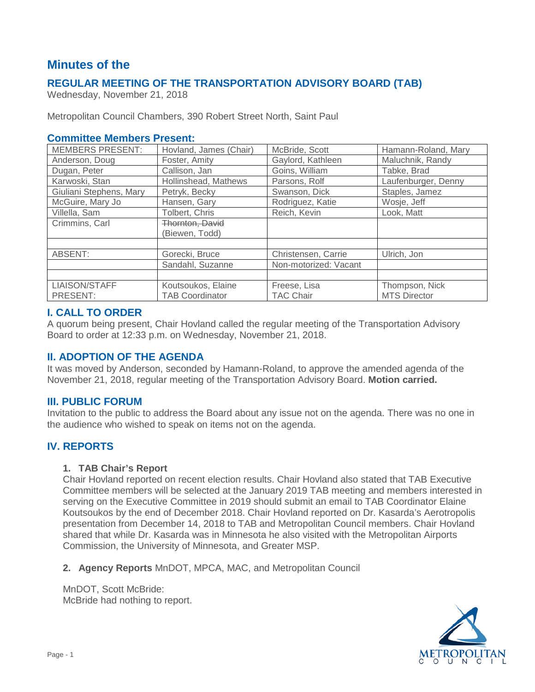# **Minutes of the**

# **REGULAR MEETING OF THE TRANSPORTATION ADVISORY BOARD (TAB)**

Wednesday, November 21, 2018

Metropolitan Council Chambers, 390 Robert Street North, Saint Paul

### **Committee Members Present:**

| <b>MEMBERS PRESENT:</b> | Hovland, James (Chair) | McBride, Scott        | Hamann-Roland, Mary |
|-------------------------|------------------------|-----------------------|---------------------|
| Anderson, Doug          | Foster, Amity          | Gaylord, Kathleen     | Maluchnik, Randy    |
| Dugan, Peter            | Callison, Jan          | Goins, William        | Tabke, Brad         |
| Karwoski, Stan          | Hollinshead, Mathews   | Parsons, Rolf         | Laufenburger, Denny |
| Giuliani Stephens, Mary | Petryk, Becky          | Swanson, Dick         | Staples, Jamez      |
| McGuire, Mary Jo        | Hansen, Gary           | Rodriguez, Katie      | Wosje, Jeff         |
| Villella, Sam           | Tolbert, Chris         | Reich, Kevin          | Look, Matt          |
| Crimmins, Carl          | Thornton, David        |                       |                     |
|                         | (Biewen, Todd)         |                       |                     |
|                         |                        |                       |                     |
| ABSENT:                 | Gorecki, Bruce         | Christensen, Carrie   | Ulrich, Jon         |
|                         | Sandahl, Suzanne       | Non-motorized: Vacant |                     |
|                         |                        |                       |                     |
| LIAISON/STAFF           | Koutsoukos, Elaine     | Freese, Lisa          | Thompson, Nick      |
| PRESENT:                | <b>TAB Coordinator</b> | TAC Chair             | <b>MTS Director</b> |

### **I. CALL TO ORDER**

A quorum being present, Chair Hovland called the regular meeting of the Transportation Advisory Board to order at 12:33 p.m. on Wednesday, November 21, 2018.

### **II. ADOPTION OF THE AGENDA**

It was moved by Anderson, seconded by Hamann-Roland, to approve the amended agenda of the November 21, 2018, regular meeting of the Transportation Advisory Board. **Motion carried.**

### **III. PUBLIC FORUM**

Invitation to the public to address the Board about any issue not on the agenda. There was no one in the audience who wished to speak on items not on the agenda.

# **IV. REPORTS**

#### **1. TAB Chair's Report**

Chair Hovland reported on recent election results. Chair Hovland also stated that TAB Executive Committee members will be selected at the January 2019 TAB meeting and members interested in serving on the Executive Committee in 2019 should submit an email to TAB Coordinator Elaine Koutsoukos by the end of December 2018. Chair Hovland reported on Dr. Kasarda's Aerotropolis presentation from December 14, 2018 to TAB and Metropolitan Council members. Chair Hovland shared that while Dr. Kasarda was in Minnesota he also visited with the Metropolitan Airports Commission, the University of Minnesota, and Greater MSP.

**2. Agency Reports** MnDOT, MPCA, MAC, and Metropolitan Council

MnDOT, Scott McBride: McBride had nothing to report.

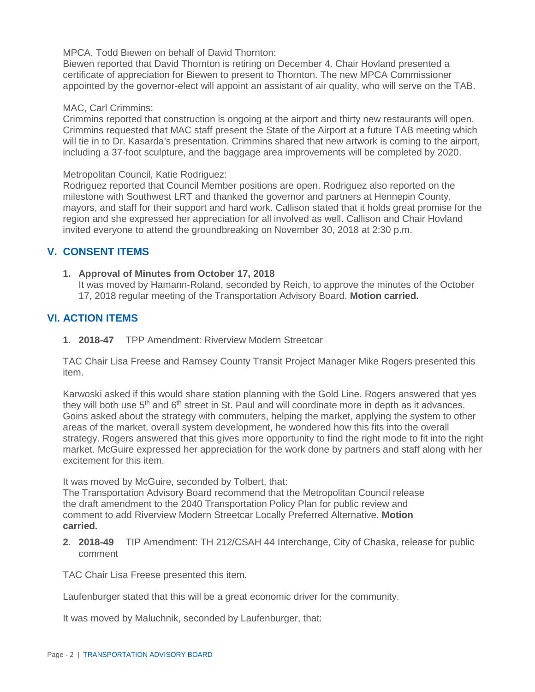MPCA, Todd Biewen on behalf of David Thornton:

Biewen reported that David Thornton is retiring on December 4. Chair Hovland presented a certificate of appreciation for Biewen to present to Thornton. The new MPCA Commissioner appointed by the governor-elect will appoint an assistant of air quality, who will serve on the TAB.

#### MAC, Carl Crimmins:

Crimmins reported that construction is ongoing at the airport and thirty new restaurants will open. Crimmins requested that MAC staff present the State of the Airport at a future TAB meeting which will tie in to Dr. Kasarda's presentation. Crimmins shared that new artwork is coming to the airport, including a 37-foot sculpture, and the baggage area improvements will be completed by 2020.

Metropolitan Council, Katie Rodriguez:

Rodriguez reported that Council Member positions are open. Rodriguez also reported on the milestone with Southwest LRT and thanked the governor and partners at Hennepin County, mayors, and staff for their support and hard work. Callison stated that it holds great promise for the region and she expressed her appreciation for all involved as well. Callison and Chair Hovland invited everyone to attend the groundbreaking on November 30, 2018 at 2:30 p.m.

### **V. CONSENT ITEMS**

**1. Approval of Minutes from October 17, 2018**

It was moved by Hamann-Roland, seconded by Reich, to approve the minutes of the October 17, 2018 regular meeting of the Transportation Advisory Board. **Motion carried.**

### **VI. ACTION ITEMS**

**1. 2018-47** TPP Amendment: Riverview Modern Streetcar

TAC Chair Lisa Freese and Ramsey County Transit Project Manager Mike Rogers presented this item.

Karwoski asked if this would share station planning with the Gold Line. Rogers answered that yes they will both use  $5<sup>th</sup>$  and  $6<sup>th</sup>$  street in St. Paul and will coordinate more in depth as it advances. Goins asked about the strategy with commuters, helping the market, applying the system to other areas of the market, overall system development, he wondered how this fits into the overall strategy. Rogers answered that this gives more opportunity to find the right mode to fit into the right market. McGuire expressed her appreciation for the work done by partners and staff along with her excitement for this item.

It was moved by McGuire, seconded by Tolbert, that:

The Transportation Advisory Board recommend that the Metropolitan Council release the draft amendment to the 2040 Transportation Policy Plan for public review and comment to add Riverview Modern Streetcar Locally Preferred Alternative. **Motion carried.**

**2. 2018-49** TIP Amendment: TH 212/CSAH 44 Interchange, City of Chaska, release for public comment

TAC Chair Lisa Freese presented this item.

Laufenburger stated that this will be a great economic driver for the community.

It was moved by Maluchnik, seconded by Laufenburger, that: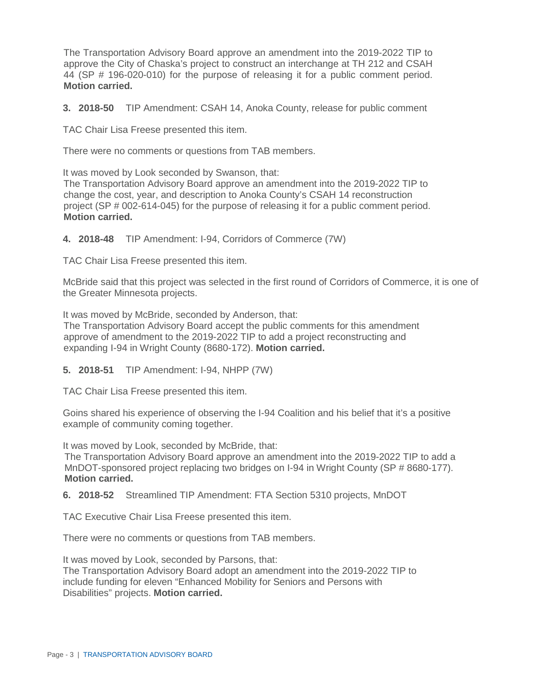The Transportation Advisory Board approve an amendment into the 2019-2022 TIP to approve the City of Chaska's project to construct an interchange at TH 212 and CSAH 44 (SP # 196-020-010) for the purpose of releasing it for a public comment period. **Motion carried.**

**3. 2018-50** TIP Amendment: CSAH 14, Anoka County, release for public comment

TAC Chair Lisa Freese presented this item.

There were no comments or questions from TAB members.

It was moved by Look seconded by Swanson, that:

The Transportation Advisory Board approve an amendment into the 2019-2022 TIP to change the cost, year, and description to Anoka County's CSAH 14 reconstruction project (SP # 002-614-045) for the purpose of releasing it for a public comment period. **Motion carried.**

**4. 2018-48** TIP Amendment: I-94, Corridors of Commerce (7W)

TAC Chair Lisa Freese presented this item.

McBride said that this project was selected in the first round of Corridors of Commerce, it is one of the Greater Minnesota projects.

It was moved by McBride, seconded by Anderson, that: The Transportation Advisory Board accept the public comments for this amendment approve of amendment to the 2019-2022 TIP to add a project reconstructing and expanding I-94 in Wright County (8680-172). **Motion carried.**

**5. 2018-51** TIP Amendment: I-94, NHPP (7W)

TAC Chair Lisa Freese presented this item.

Goins shared his experience of observing the I-94 Coalition and his belief that it's a positive example of community coming together.

It was moved by Look, seconded by McBride, that:

The Transportation Advisory Board approve an amendment into the 2019-2022 TIP to add a MnDOT-sponsored project replacing two bridges on I-94 in Wright County (SP # 8680-177). **Motion carried.**

**6. 2018-52** Streamlined TIP Amendment: FTA Section 5310 projects, MnDOT

TAC Executive Chair Lisa Freese presented this item.

There were no comments or questions from TAB members.

It was moved by Look, seconded by Parsons, that: The Transportation Advisory Board adopt an amendment into the 2019-2022 TIP to include funding for eleven "Enhanced Mobility for Seniors and Persons with Disabilities" projects. **Motion carried.**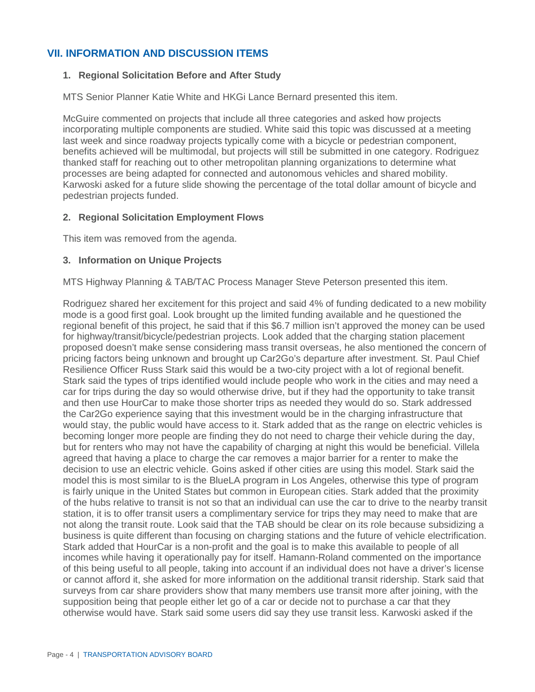# **VII. INFORMATION AND DISCUSSION ITEMS**

#### **1. Regional Solicitation Before and After Study**

MTS Senior Planner Katie White and HKGi Lance Bernard presented this item.

McGuire commented on projects that include all three categories and asked how projects incorporating multiple components are studied. White said this topic was discussed at a meeting last week and since roadway projects typically come with a bicycle or pedestrian component, benefits achieved will be multimodal, but projects will still be submitted in one category. Rodriguez thanked staff for reaching out to other metropolitan planning organizations to determine what processes are being adapted for connected and autonomous vehicles and shared mobility. Karwoski asked for a future slide showing the percentage of the total dollar amount of bicycle and pedestrian projects funded.

#### **2. Regional Solicitation Employment Flows**

This item was removed from the agenda.

#### **3. Information on Unique Projects**

MTS Highway Planning & TAB/TAC Process Manager Steve Peterson presented this item.

Rodriguez shared her excitement for this project and said 4% of funding dedicated to a new mobility mode is a good first goal. Look brought up the limited funding available and he questioned the regional benefit of this project, he said that if this \$6.7 million isn't approved the money can be used for highway/transit/bicycle/pedestrian projects. Look added that the charging station placement proposed doesn't make sense considering mass transit overseas, he also mentioned the concern of pricing factors being unknown and brought up Car2Go's departure after investment. St. Paul Chief Resilience Officer Russ Stark said this would be a two-city project with a lot of regional benefit. Stark said the types of trips identified would include people who work in the cities and may need a car for trips during the day so would otherwise drive, but if they had the opportunity to take transit and then use HourCar to make those shorter trips as needed they would do so. Stark addressed the Car2Go experience saying that this investment would be in the charging infrastructure that would stay, the public would have access to it. Stark added that as the range on electric vehicles is becoming longer more people are finding they do not need to charge their vehicle during the day, but for renters who may not have the capability of charging at night this would be beneficial. Villela agreed that having a place to charge the car removes a major barrier for a renter to make the decision to use an electric vehicle. Goins asked if other cities are using this model. Stark said the model this is most similar to is the BlueLA program in Los Angeles, otherwise this type of program is fairly unique in the United States but common in European cities. Stark added that the proximity of the hubs relative to transit is not so that an individual can use the car to drive to the nearby transit station, it is to offer transit users a complimentary service for trips they may need to make that are not along the transit route. Look said that the TAB should be clear on its role because subsidizing a business is quite different than focusing on charging stations and the future of vehicle electrification. Stark added that HourCar is a non-profit and the goal is to make this available to people of all incomes while having it operationally pay for itself. Hamann-Roland commented on the importance of this being useful to all people, taking into account if an individual does not have a driver's license or cannot afford it, she asked for more information on the additional transit ridership. Stark said that surveys from car share providers show that many members use transit more after joining, with the supposition being that people either let go of a car or decide not to purchase a car that they otherwise would have. Stark said some users did say they use transit less. Karwoski asked if the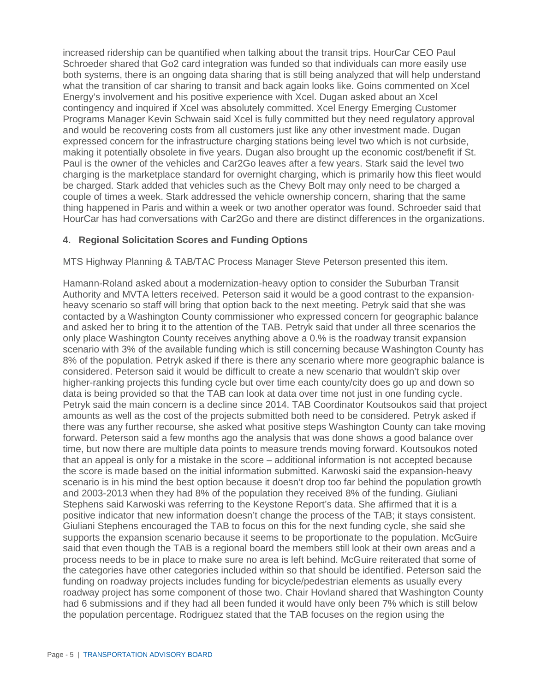increased ridership can be quantified when talking about the transit trips. HourCar CEO Paul Schroeder shared that Go2 card integration was funded so that individuals can more easily use both systems, there is an ongoing data sharing that is still being analyzed that will help understand what the transition of car sharing to transit and back again looks like. Goins commented on Xcel Energy's involvement and his positive experience with Xcel. Dugan asked about an Xcel contingency and inquired if Xcel was absolutely committed. Xcel Energy Emerging Customer Programs Manager Kevin Schwain said Xcel is fully committed but they need regulatory approval and would be recovering costs from all customers just like any other investment made. Dugan expressed concern for the infrastructure charging stations being level two which is not curbside, making it potentially obsolete in five years. Dugan also brought up the economic cost/benefit if St. Paul is the owner of the vehicles and Car2Go leaves after a few years. Stark said the level two charging is the marketplace standard for overnight charging, which is primarily how this fleet would be charged. Stark added that vehicles such as the Chevy Bolt may only need to be charged a couple of times a week. Stark addressed the vehicle ownership concern, sharing that the same thing happened in Paris and within a week or two another operator was found. Schroeder said that HourCar has had conversations with Car2Go and there are distinct differences in the organizations.

### **4. Regional Solicitation Scores and Funding Options**

MTS Highway Planning & TAB/TAC Process Manager Steve Peterson presented this item.

Hamann-Roland asked about a modernization-heavy option to consider the Suburban Transit Authority and MVTA letters received. Peterson said it would be a good contrast to the expansionheavy scenario so staff will bring that option back to the next meeting. Petryk said that she was contacted by a Washington County commissioner who expressed concern for geographic balance and asked her to bring it to the attention of the TAB. Petryk said that under all three scenarios the only place Washington County receives anything above a 0.% is the roadway transit expansion scenario with 3% of the available funding which is still concerning because Washington County has 8% of the population. Petryk asked if there is there any scenario where more geographic balance is considered. Peterson said it would be difficult to create a new scenario that wouldn't skip over higher-ranking projects this funding cycle but over time each county/city does go up and down so data is being provided so that the TAB can look at data over time not just in one funding cycle. Petryk said the main concern is a decline since 2014. TAB Coordinator Koutsoukos said that project amounts as well as the cost of the projects submitted both need to be considered. Petryk asked if there was any further recourse, she asked what positive steps Washington County can take moving forward. Peterson said a few months ago the analysis that was done shows a good balance over time, but now there are multiple data points to measure trends moving forward. Koutsoukos noted that an appeal is only for a mistake in the score – additional information is not accepted because the score is made based on the initial information submitted. Karwoski said the expansion-heavy scenario is in his mind the best option because it doesn't drop too far behind the population growth and 2003-2013 when they had 8% of the population they received 8% of the funding. Giuliani Stephens said Karwoski was referring to the Keystone Report's data. She affirmed that it is a positive indicator that new information doesn't change the process of the TAB; it stays consistent. Giuliani Stephens encouraged the TAB to focus on this for the next funding cycle, she said she supports the expansion scenario because it seems to be proportionate to the population. McGuire said that even though the TAB is a regional board the members still look at their own areas and a process needs to be in place to make sure no area is left behind. McGuire reiterated that some of the categories have other categories included within so that should be identified. Peterson said the funding on roadway projects includes funding for bicycle/pedestrian elements as usually every roadway project has some component of those two. Chair Hovland shared that Washington County had 6 submissions and if they had all been funded it would have only been 7% which is still below the population percentage. Rodriguez stated that the TAB focuses on the region using the